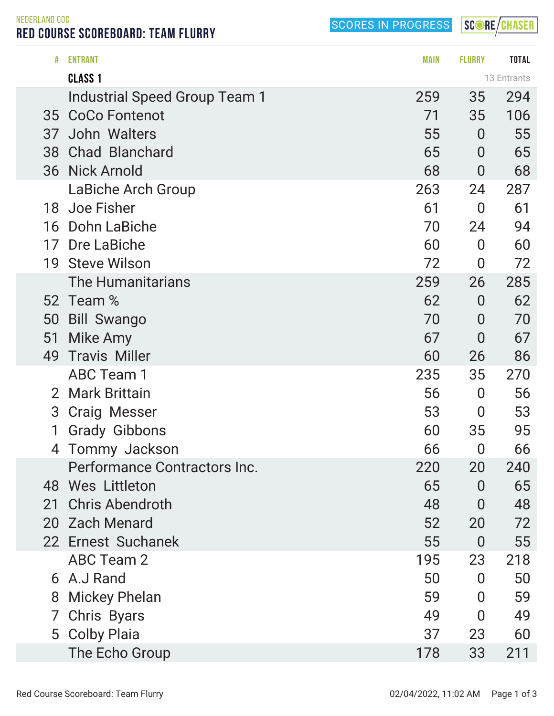SCORES IN PROGRESS

SCORE/CHASER

NEDERLAND COC RED COURSE SCOREBOARD: TEAM FLURRY

| #              | <b>ENTRANT</b>                | <b>MAIN</b> | <b>FLURRY</b>  | <b>TOTAL</b> |
|----------------|-------------------------------|-------------|----------------|--------------|
|                | <b>CLASS 1</b>                |             |                | 13 Entrants  |
|                | Industrial Speed Group Team 1 | 259         | 35             | 294          |
|                | 35 CoCo Fontenot              | 71          | 35             | 106          |
| 37             | John Walters                  | 55          | $\overline{0}$ | 55           |
| 38             | <b>Chad Blanchard</b>         | 65          | $\overline{0}$ | 65           |
| 36             | <b>Nick Arnold</b>            | 68          | $\overline{0}$ | 68           |
|                | LaBiche Arch Group            | 263         | 24             | 287          |
| 18             | Joe Fisher                    | 61          | $\overline{0}$ | 61           |
| 16             | Dohn LaBiche                  | 70          | 24             | 94           |
| 17             | Dre LaBiche                   | 60          | $\overline{0}$ | 60           |
| 19             | <b>Steve Wilson</b>           | 72          | $\bf{0}$       | 72           |
|                | <b>The Humanitarians</b>      | 259         | 26             | 285          |
|                | 52 Team %                     | 62          | $\overline{0}$ | 62           |
| 50             | <b>Bill Swango</b>            | 70          | $\overline{0}$ | 70           |
| 51             | Mike Amy                      | 67          | $\overline{0}$ | 67           |
| 49             | <b>Travis Miller</b>          | 60          | 26             | 86           |
|                | <b>ABC Team 1</b>             | 235         | 35             | 270          |
| $\overline{2}$ | <b>Mark Brittain</b>          | 56          | $\overline{0}$ | 56           |
| 3              | <b>Craig Messer</b>           | 53          | $\overline{0}$ | 53           |
|                | <b>Grady Gibbons</b>          | 60          | 35             | 95           |
| 4              | Tommy Jackson                 | 66          | $\overline{0}$ | 66           |
|                | Performance Contractors Inc.  | 220         | 20             | 240          |
|                | 48 Wes Littleton              | 65          | $\overline{0}$ | 65           |
| 21             | <b>Chris Abendroth</b>        | 48          | $\overline{0}$ | 48           |
|                | 20 Zach Menard                | 52          | 20             | 72           |
|                | 22 Ernest Suchanek            | 55          | $\overline{0}$ | 55           |
|                | <b>ABC Team 2</b>             | 195         | 23             | 218          |
| 6              | A.J Rand                      | 50          | $\overline{0}$ | 50           |
| 8              | Mickey Phelan                 | 59          | $\overline{0}$ | 59           |
| 7              | Chris Byars                   | 49          | $\overline{0}$ | 49           |
| 5              | <b>Colby Plaia</b>            | 37          | 23             | 60           |
|                | The Echo Group                | 178         | 33             | 211          |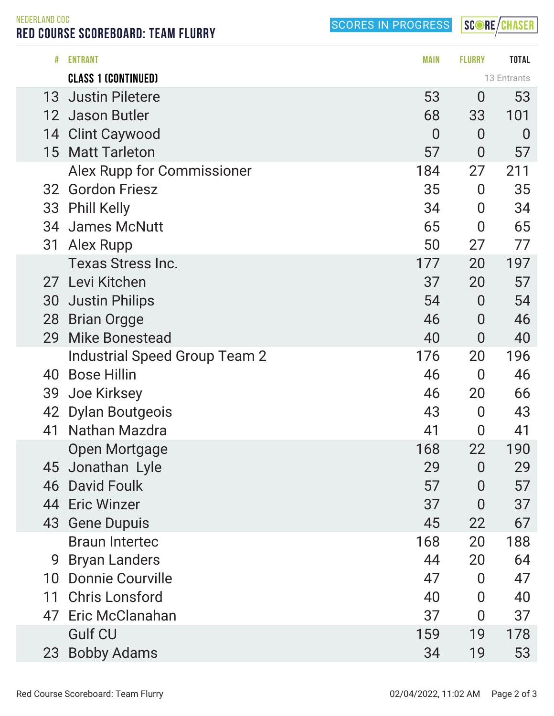SCORES IN PROGRESS

SCORE/CHASER

NEDERLAND COC RED COURSE SCOREBOARD: TEAM FLURRY

| #  | <b>ENTRANT</b>                | <b>MAIN</b>    | <b>FLURRY</b>    | <b>TOTAL</b>   |  |
|----|-------------------------------|----------------|------------------|----------------|--|
|    | <b>CLASS 1 (CONTINUED)</b>    |                | 13 Entrants      |                |  |
| 13 | <b>Justin Piletere</b>        | 53             | $\bf{0}$         | 53             |  |
|    | 12 Jason Butler               | 68             | 33               | 101            |  |
| 14 | <b>Clint Caywood</b>          | $\overline{0}$ | $\overline{0}$   | $\overline{0}$ |  |
| 15 | <b>Matt Tarleton</b>          | 57             | $\overline{0}$   | 57             |  |
|    | Alex Rupp for Commissioner    | 184            | 27               | 211            |  |
| 32 | <b>Gordon Friesz</b>          | 35             | $\bf{0}$         | 35             |  |
| 33 | <b>Phill Kelly</b>            | 34             | $\boldsymbol{0}$ | 34             |  |
|    | 34 James McNutt               | 65             | $\overline{0}$   | 65             |  |
| 31 | <b>Alex Rupp</b>              | 50             | 27               | 77             |  |
|    | <b>Texas Stress Inc.</b>      | 177            | 20               | 197            |  |
| 27 | Levi Kitchen                  | 37             | 20               | 57             |  |
| 30 | <b>Justin Philips</b>         | 54             | $\overline{0}$   | 54             |  |
| 28 | <b>Brian Orgge</b>            | 46             | $\overline{0}$   | 46             |  |
| 29 | <b>Mike Bonestead</b>         | 40             | $\overline{0}$   | 40             |  |
|    | Industrial Speed Group Team 2 | 176            | 20               | 196            |  |
| 40 | <b>Bose Hillin</b>            | 46             | $\overline{0}$   | 46             |  |
| 39 | <b>Joe Kirksey</b>            | 46             | 20               | 66             |  |
| 42 | <b>Dylan Boutgeois</b>        | 43             | $\boldsymbol{0}$ | 43             |  |
| 41 | Nathan Mazdra                 | 41             | 0                | 41             |  |
|    | <b>Open Mortgage</b>          | 168            | 22               | 190            |  |
|    | 45 Jonathan Lyle              | 29             | $\overline{0}$   | 29             |  |
| 46 | <b>David Foulk</b>            | 57             | 0                | 57             |  |
|    | 44 Eric Winzer                | 37             | $\overline{0}$   | 37             |  |
|    | 43 Gene Dupuis                | 45             | 22               | 67             |  |
|    | <b>Braun Intertec</b>         | 168            | 20               | 188            |  |
| 9  | <b>Bryan Landers</b>          | 44             | 20               | 64             |  |
| 10 | <b>Donnie Courville</b>       | 47             | $\overline{0}$   | 47             |  |
| 11 | <b>Chris Lonsford</b>         | 40             | $\overline{0}$   | 40             |  |
| 47 | Eric McClanahan               | 37             | $\bf{0}$         | 37             |  |
|    | <b>Gulf CU</b>                | 159            | 19               | 178            |  |
| 23 | <b>Bobby Adams</b>            | 34             | 19               | 53             |  |